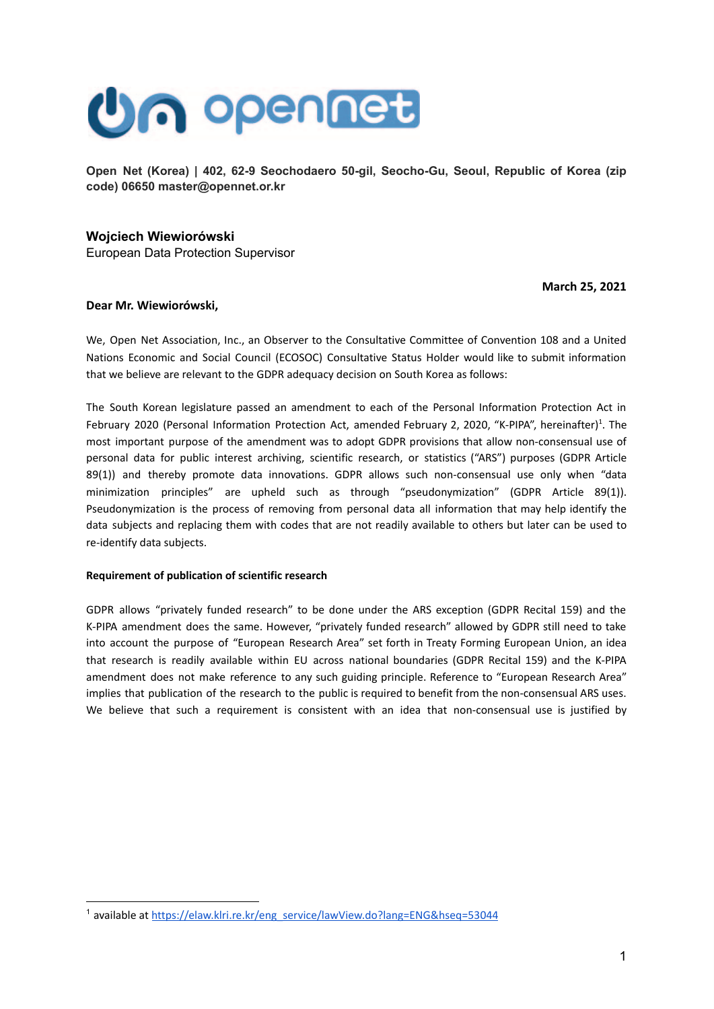

Open Net (Korea) | 402, 62-9 Seochodaero 50-gil, Seocho-Gu, Seoul, Republic of Korea (zip code) 06650 master@opennet.or.kr

# Wojciech Wiewiorówski

European Data Protection Supervisor

March 25, 2021

## Dear Mr. Wiewiorówski,

We, Open Net Association, Inc., an Observer to the Consultative Committee of Convention 108 and a United Nations Economic and Social Council (ECOSOC) Consultative Status Holder would like to submit information that we believe are relevant to the GDPR adequacy decision on South Korea as follows:

The South Korean legislature passed an amendment to each of the Personal Information Protection Act in February 2020 (Personal Information Protection Act, amended February 2, 2020, "K-PIPA", hereinafter)<sup>1</sup>. The most important purpose of the amendment was to adopt GDPR provisions that allow non-consensual use of personal data for public interest archiving, scientific research, or statistics ("ARS") purposes (GDPR Article 89(1)) and thereby promote data innovations. GDPR allows such non-consensual use only when "data minimization principles" are upheld such as through "pseudonymization" (GDPR Article 89(1)). Pseudonymization is the process of removing from personal data all information that may help identify the data subjects and replacing them with codes that are not readily available to others but later can be used to re-identify data subjects.

### Requirement of publication of scientific research

GDPR allows "privately funded research" to be done under the ARS exception (GDPR Recital 159) and the K-PIPA amendment does the same. However, "privately funded research" allowed by GDPR still need to take into account the purpose of "European Research Area" set forth in Treaty Forming European Union, an idea that research is readily available within EU across national boundaries (GDPR Recital 159) and the K-PIPA amendment does not make reference to any such guiding principle. Reference to "European Research Area" implies that publication of the research to the public is required to benefit from the non-consensual ARS uses. We believe that such a requirement is consistent with an idea that non-consensual use is justified by

<sup>&</sup>lt;sup>1</sup> available at https://elaw.klri.re.kr/eng service/lawView.do?lang=ENG&hseq=53044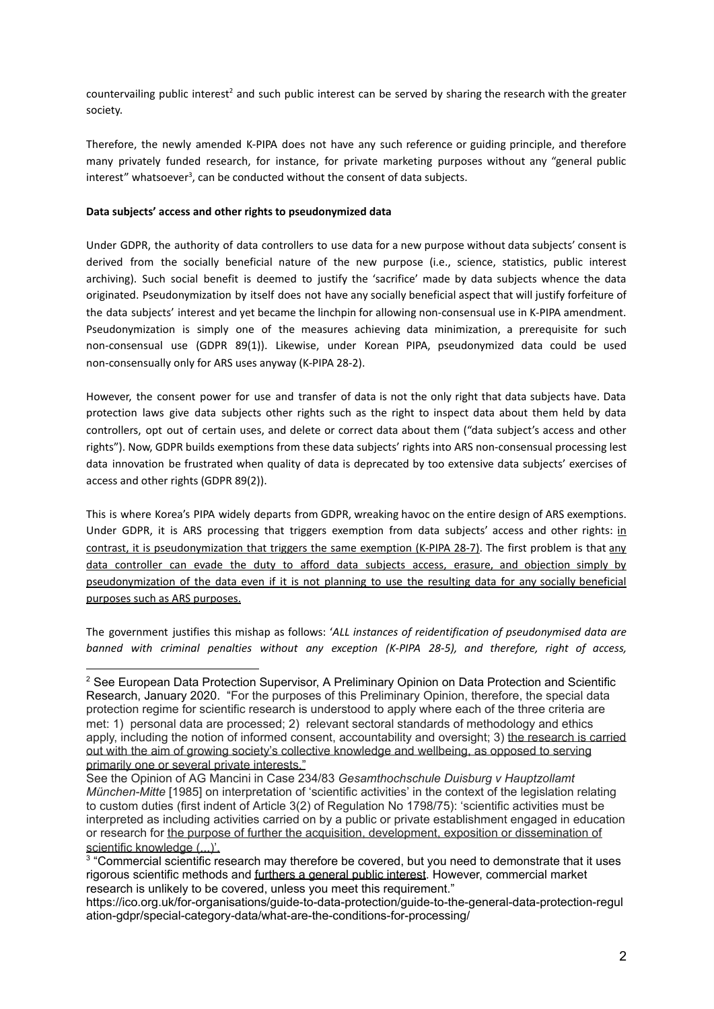countervailing public interest<sup>2</sup> and such public interest can be served by sharing the research with the greater society.

Therefore, the newly amended K-PIPA does not have any such reference or guiding principle, and therefore many privately funded research, for instance, for private marketing purposes without any "general public interest" whatsoever<sup>3</sup>, can be conducted without the consent of data subjects.

## **Data subjects access and other rights to pseudonymized data**

Under GDPR, the authority of data controllers to use data for a new purpose without data subjects' consent is derived from the socially beneficial nature of the new purpose (i.e., science, statistics, public interest archiving). Such social benefit is deemed to justify the 'sacrifice' made by data subjects whence the data originated. Pseudonymization by itself does not have any socially beneficial aspect that will justify forfeiture of the data subjects' interest and yet became the linchpin for allowing non-consensual use in K-PIPA amendment. Pseudonymization is simply one of the measures achieving data minimization, a prerequisite for such non-consensual use (GDPR 89(1)). Likewise, under Korean PIPA, pseudonymized data could be used non-consensually only for ARS uses anyway (K-PIPA 28-2).

However, the consent power for use and transfer of data is not the only right that data subjects have. Data protection laws give data subjects other rights such as the right to inspect data about them held by data controllers, opt out of certain uses, and delete or correct data about them ("data subject's access and other rights"). Now, GDPR builds exemptions from these data subjects' rights into ARS non-consensual processing lest data innovation be frustrated when quality of data is deprecated by too extensive data subjects' exercises of access and other rights (GDPR  $89(2)$ ).

This is where Korea's PIPA widely departs from GDPR, wreaking havoc on the entire design of ARS exemptions. Under GDPR, it is ARS processing that triggers exemption from data subjects' access and other rights: in contrast, it is pseudonymization that triggers the same exemption (K-PIPA 28-7). The first problem is that any data controller can evade the duty to afford data subjects access, erasure, and objection simply by pseudonymization of the data even if it is not planning to use the resulting data for any socially beneficial purposes such as ARS purposes.

The government justifies this mishap as follows: '*ALL instances of reidentification of pseudonymised data are banned with criminal penalties without any exception ¥KPIPA ÁÇĦ, and therefore, right of access,*

<sup>&</sup>lt;sup>2</sup> See European Data Protection Supervisor, A Preliminary Opinion on Data Protection and Scientific Research, January 2020. "For the purposes of this Preliminary Opinion, therefore, the special data protection regime for scientific research is understood to apply where each of the three criteria are met: 1) personal data are processed; 2) relevant sectoral standards of methodology and ethics apply, including the notion of informed consent, accountability and oversight; 3) the research is carried out with the aim of growing society's collective knowledge and wellbeing, as opposed to serving primarily one or several private interests."

See the Opinion of AG Mancini in Case 234/83 Gesamthochschule Duisburg v Hauptzollamt *München-Mitte* [1985] on interpretation of 'scientific activities' in the context of the legislation relating to custom duties (first indent of Article 3(2) of Regulation No 1798/75): 'scientific activities must be interpreted as including activities carried on by a public or private establishment engaged in education or research for the purpose of further the acquisition, development, exposition or dissemination of scientific knowledge (...)'.

<sup>&</sup>lt;sup>3</sup> "Commercial scientific research may therefore be covered, but you need to demonstrate that it uses rigorous scientific methods and furthers a general public interest. However, commercial market research is unlikely to be covered, unless you meet this requirement."

https://ico.org.uk/for-organisations/guide-to-data-protection/guide-to-the-general-data-protection-regul ation-gdpr/special-category-data/what-are-the-conditions-for-processing/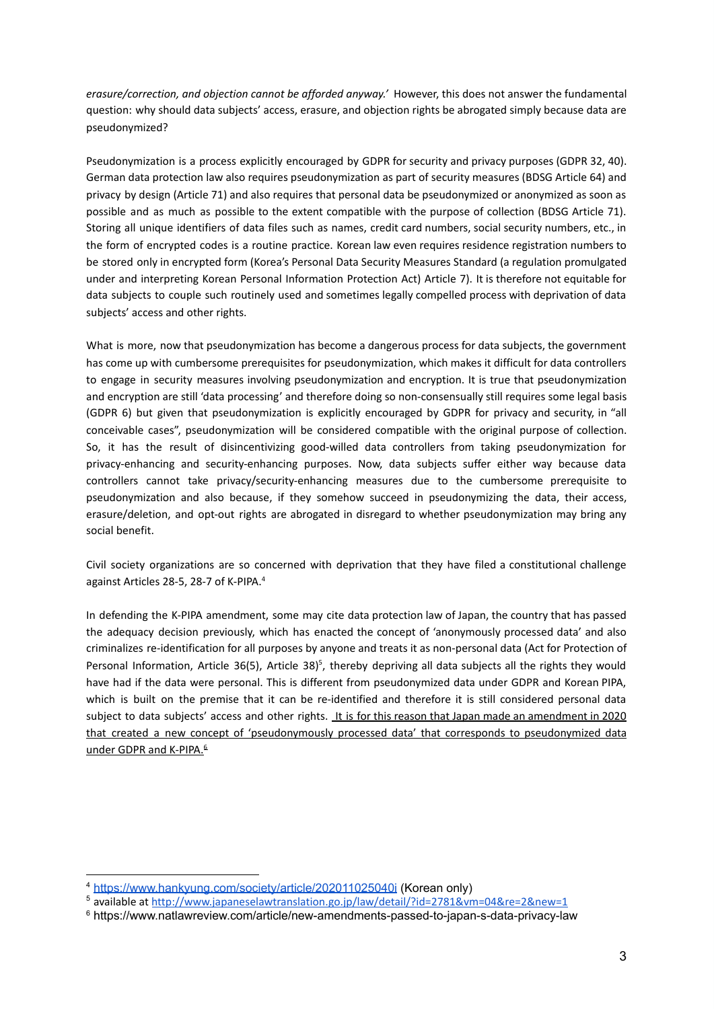*erasure/correction, and objection cannot be afforded anyway.'* However, this does not answer the fundamental question: why should data subjects' access, erasure, and objection rights be abrogated simply because data are pseudonymized?

Pseudonymization is a process explicitly encouraged by GDPR for security and privacy purposes (GDPR 32, 40). German data protection law also requires pseudonymization as part of security measures (BDSG Article 64) and privacy by design (Article 71) and also requires that personal data be pseudonymized or anonymized as soon as possible and as much as possible to the extent compatible with the purpose of collection (BDSG Article 71). Storing all unique identifiers of data files such as names, credit card numbers, social security numbers, etc., in the form of encrypted codes is a routine practice. Korean law even requires residence registration numbers to be stored only in encrypted form (Korea's Personal Data Security Measures Standard (a regulation promulgated under and interpreting Korean Personal Information Protection Act) Article 7). It is therefore not equitable for data subjects to couple such routinely used and sometimes legally compelled process with deprivation of data subjects' access and other rights.

What is more, now that pseudonymization has become a dangerous process for data subjects, the government has come up with cumbersome prerequisites for pseudonymization, which makes it difficult for data controllers to engage in security measures involving pseudonymization and encryption. It is true that pseudonymization and encryption are still 'data processing' and therefore doing so non-consensually still requires some legal basis (GDPR Ç) but given that pseudonymization is explicitly encouraged by GDPR for privacy and security, in "all conceivable cases", pseudonymization will be considered compatible with the original purpose of collection. So, it has the result of disincentivizing good-willed data controllers from taking pseudonymization for privacy-enhancing and security-enhancing purposes. Now, data subjects suffer either way because data controllers cannot take privacy/security-enhancing measures due to the cumbersome prerequisite to pseudonymization and also because, if they somehow succeed in pseudonymizing the data, their access, erasure/deletion, and opt-out rights are abrogated in disregard to whether pseudonymization may bring any social benefit.

Civil society organizations are so concerned with deprivation that they have filed a constitutional challenge against Articles 28-5, 28-7 of K-PIPA.<sup>4</sup>

In defending the K-PIPA amendment, some may cite data protection law of Japan, the country that has passed the adequacy decision previously, which has enacted the concept of 'anonymously processed data' and also criminalizes re-identification for all purposes by anyone and treats it as non-personal data (Act for Protection of Personal Information, Article 36(5), Article 38)<sup>5</sup>, thereby depriving all data subjects all the rights they would have had if the data were personal. This is different from pseudonymized data under GDPR and Korean PIPA, which is built on the premise that it can be re-identified and therefore it is still considered personal data subject to data subjects' access and other rights. It is for this reason that Japan made an amendment in 2020 that created a new concept of 'pseudonymously processed data' that corresponds to pseudonymized data under GDPR and K-PIPA.<sup>6</sup>

<sup>4</sup> <https://www.hankyung.com/society/article/202011025040i> (Korean only)

<sup>5</sup> available at http://www.japaneselawtranslation.go.jp/law/detail/?id=2781&vm=04&re=2&new=1

https://www.natlawreview.com/article/new-amendments-passed-to-japan-s-data-privacy-law